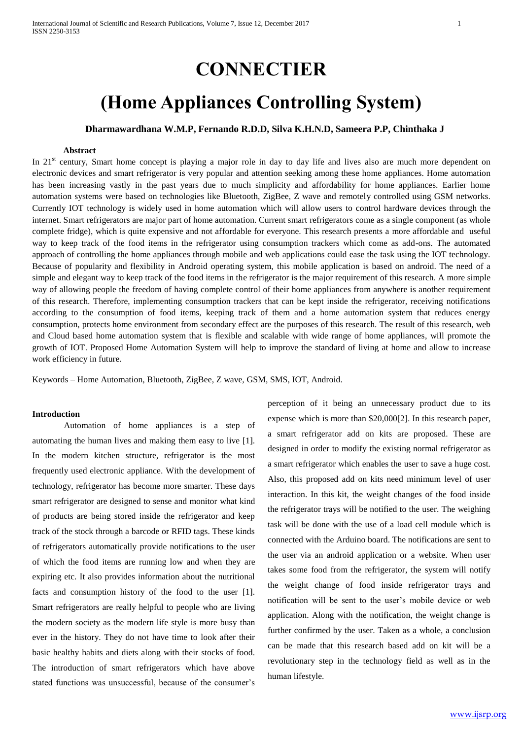# **CONNECTIER**

# **(Home Appliances Controlling System)**

## **Dharmawardhana W.M.P, Fernando R.D.D, Silva K.H.N.D, Sameera P.P, Chinthaka J**

## **Abstract**

In 21<sup>st</sup> century, Smart home concept is playing a major role in day to day life and lives also are much more dependent on electronic devices and smart refrigerator is very popular and attention seeking among these home appliances. Home automation has been increasing vastly in the past years due to much simplicity and affordability for home appliances. Earlier home automation systems were based on technologies like Bluetooth, ZigBee, Z wave and remotely controlled using GSM networks. Currently IOT technology is widely used in home automation which will allow users to control hardware devices through the internet. Smart refrigerators are major part of home automation. Current smart refrigerators come as a single component (as whole complete fridge), which is quite expensive and not affordable for everyone. This research presents a more affordable and useful way to keep track of the food items in the refrigerator using consumption trackers which come as add-ons. The automated approach of controlling the home appliances through mobile and web applications could ease the task using the IOT technology. Because of popularity and flexibility in Android operating system, this mobile application is based on android. The need of a simple and elegant way to keep track of the food items in the refrigerator is the major requirement of this research. A more simple way of allowing people the freedom of having complete control of their home appliances from anywhere is another requirement of this research. Therefore, implementing consumption trackers that can be kept inside the refrigerator, receiving notifications according to the consumption of food items, keeping track of them and a home automation system that reduces energy consumption, protects home environment from secondary effect are the purposes of this research. The result of this research, web and Cloud based home automation system that is flexible and scalable with wide range of home appliances, will promote the growth of IOT. Proposed Home Automation System will help to improve the standard of living at home and allow to increase work efficiency in future.

Keywords – Home Automation, Bluetooth, ZigBee, Z wave, GSM, SMS, IOT, Android.

#### **Introduction**

Automation of home appliances is a step of automating the human lives and making them easy to live [1]. In the modern kitchen structure, refrigerator is the most frequently used electronic appliance. With the development of technology, refrigerator has become more smarter. These days smart refrigerator are designed to sense and monitor what kind of products are being stored inside the refrigerator and keep track of the stock through a barcode or RFID tags. These kinds of refrigerators automatically provide notifications to the user of which the food items are running low and when they are expiring etc. It also provides information about the nutritional facts and consumption history of the food to the user [1]. Smart refrigerators are really helpful to people who are living the modern society as the modern life style is more busy than ever in the history. They do not have time to look after their basic healthy habits and diets along with their stocks of food. The introduction of smart refrigerators which have above stated functions was unsuccessful, because of the consumer's perception of it being an unnecessary product due to its expense which is more than \$20,000[2]. In this research paper, a smart refrigerator add on kits are proposed. These are designed in order to modify the existing normal refrigerator as a smart refrigerator which enables the user to save a huge cost. Also, this proposed add on kits need minimum level of user interaction. In this kit, the weight changes of the food inside the refrigerator trays will be notified to the user. The weighing task will be done with the use of a load cell module which is connected with the Arduino board. The notifications are sent to the user via an android application or a website. When user takes some food from the refrigerator, the system will notify the weight change of food inside refrigerator trays and notification will be sent to the user's mobile device or web application. Along with the notification, the weight change is further confirmed by the user. Taken as a whole, a conclusion can be made that this research based add on kit will be a revolutionary step in the technology field as well as in the human lifestyle.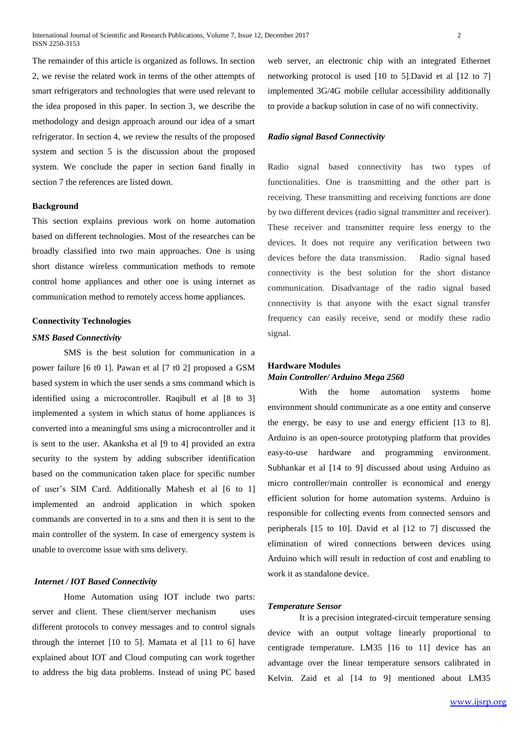The remainder of this article is organized as follows. In section 2, we revise the related work in terms of the other attempts of smart refrigerators and technologies that were used relevant to the idea proposed in this paper. In section 3, we describe the methodology and design approach around our idea of a smart refrigerator. In section 4, we review the results of the proposed system and section 5 is the discussion about the proposed system. We conclude the paper in section 6and finally in section 7 the references are listed down.

## **Background**

This section explains previous work on home automation based on different technologies. Most of the researches can be broadly classified into two main approaches. One is using short distance wireless communication methods to remote control home appliances and other one is using internet as communication method to remotely access home appliances.

## **Connectivity Technologies**

#### *SMS Based Connectivity*

SMS is the best solution for communication in a power failure [6 t0 1]. Pawan et al [7 t0 2] proposed a GSM based system in which the user sends a sms command which is identified using a microcontroller. Raqibull et al [8 to 3] implemented a system in which status of home appliances is converted into a meaningful sms using a microcontroller and it is sent to the user. Akanksha et al [9 to 4] provided an extra security to the system by adding subscriber identification based on the communication taken place for specific number of user's SIM Card. Additionally Mahesh et al [6 to 1] implemented an android application in which spoken commands are converted in to a sms and then it is sent to the main controller of the system. In case of emergency system is unable to overcome issue with sms delivery.

## *Internet / IOT Based Connectivity*

Home Automation using IOT include two parts: server and client. These client/server mechanism uses different protocols to convey messages and to control signals through the internet [10 to 5]. Mamata et al [11 to 6] have explained about IOT and Cloud computing can work together to address the big data problems. Instead of using PC based

web server, an electronic chip with an integrated Ethernet networking protocol is used [10 to 5].David et al [12 to 7] implemented 3G/4G mobile cellular accessibility additionally to provide a backup solution in case of no wifi connectivity.

#### *Radio signal Based Connectivity*

Radio signal based connectivity has two types of functionalities. One is transmitting and the other part is receiving. These transmitting and receiving functions are done by two different devices (radio signal transmitter and receiver). These receiver and transmitter require less energy to the devices. It does not require any verification between two devices before the data transmission. Radio signal based connectivity is the best solution for the short distance communication. Disadvantage of the radio signal based connectivity is that anyone with the exact signal transfer frequency can easily receive, send or modify these radio signal.

## **Hardware Modules** *Main Controller/ Arduino Mega 2560*

With the home automation systems home environment should communicate as a one entity and conserve the energy, be easy to use and energy efficient [13 to 8]. Arduino is an open-source prototyping platform that provides easy-to-use hardware and programming environment. Subhankar et al [14 to 9] discussed about using Arduino as micro controller/main controller is economical and energy efficient solution for home automation systems. Arduino is responsible for collecting events from connected sensors and peripherals [15 to 10]. David et al [12 to 7] discussed the elimination of wired connections between devices using Arduino which will result in reduction of cost and enabling to work it as standalone device.

#### *Temperature Sensor*

It is a precision integrated-circuit temperature sensing device with an output voltage linearly proportional to centigrade temperature. LM35 [16 to 11] device has an advantage over the linear temperature sensors calibrated in Kelvin. Zaid et al [14 to 9] mentioned about LM35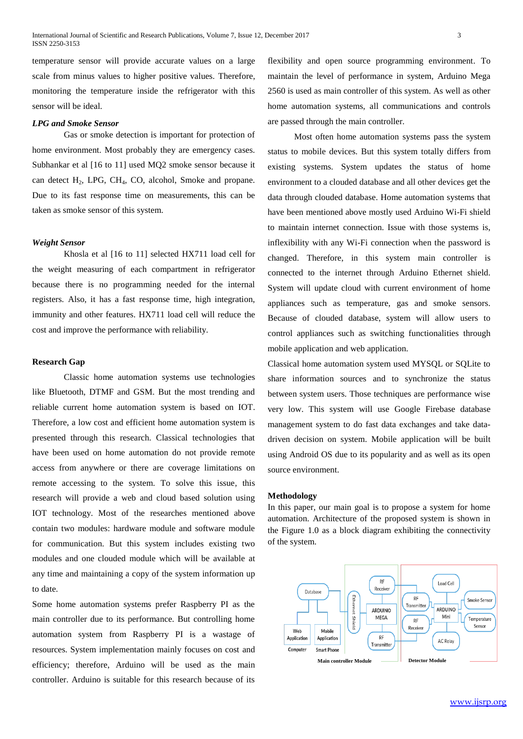temperature sensor will provide accurate values on a large scale from minus values to higher positive values. Therefore, monitoring the temperature inside the refrigerator with this sensor will be ideal.

## *LPG and Smoke Sensor*

Gas or smoke detection is important for protection of home environment. Most probably they are emergency cases. Subhankar et al [16 to 11] used MQ2 smoke sensor because it can detect  $H_2$ , LPG, CH<sub>4</sub>, CO, alcohol, Smoke and propane. Due to its fast response time on measurements, this can be taken as smoke sensor of this system.

#### *Weight Sensor*

Khosla et al [16 to 11] selected HX711 load cell for the weight measuring of each compartment in refrigerator because there is no programming needed for the internal registers. Also, it has a fast response time, high integration, immunity and other features. HX711 load cell will reduce the cost and improve the performance with reliability.

#### **Research Gap**

Classic home automation systems use technologies like Bluetooth, DTMF and GSM. But the most trending and reliable current home automation system is based on IOT. Therefore, a low cost and efficient home automation system is presented through this research. Classical technologies that have been used on home automation do not provide remote access from anywhere or there are coverage limitations on remote accessing to the system. To solve this issue, this research will provide a web and cloud based solution using IOT technology. Most of the researches mentioned above contain two modules: hardware module and software module for communication. But this system includes existing two modules and one clouded module which will be available at any time and maintaining a copy of the system information up to date.

Some home automation systems prefer Raspberry PI as the main controller due to its performance. But controlling home automation system from Raspberry PI is a wastage of resources. System implementation mainly focuses on cost and efficiency; therefore, Arduino will be used as the main controller. Arduino is suitable for this research because of its flexibility and open source programming environment. To maintain the level of performance in system, Arduino Mega 2560 is used as main controller of this system. As well as other home automation systems, all communications and controls are passed through the main controller.

 Most often home automation systems pass the system status to mobile devices. But this system totally differs from existing systems. System updates the status of home environment to a clouded database and all other devices get the data through clouded database. Home automation systems that have been mentioned above mostly used Arduino Wi-Fi shield to maintain internet connection. Issue with those systems is, inflexibility with any Wi-Fi connection when the password is changed. Therefore, in this system main controller is connected to the internet through Arduino Ethernet shield. System will update cloud with current environment of home appliances such as temperature, gas and smoke sensors. Because of clouded database, system will allow users to control appliances such as switching functionalities through mobile application and web application.

Classical home automation system used MYSQL or SQLite to share information sources and to synchronize the status between system users. Those techniques are performance wise very low. This system will use Google Firebase database management system to do fast data exchanges and take datadriven decision on system. Mobile application will be built using Android OS due to its popularity and as well as its open source environment.

#### **Methodology**

In this paper, our main goal is to propose a system for home automation. Architecture of the proposed system is shown in the Figure 1.0 as a block diagram exhibiting the connectivity of the system.

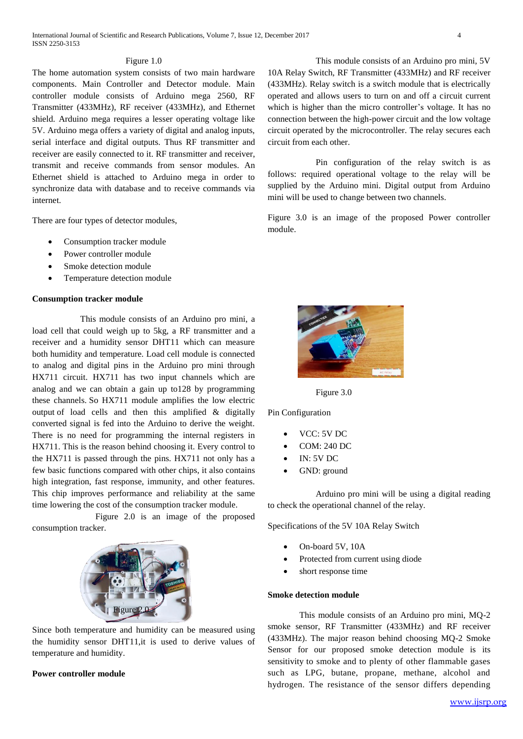#### Figure 1.0

The home automation system consists of two main hardware components. Main Controller and Detector module. Main controller module consists of Arduino mega 2560, RF Transmitter (433MHz), RF receiver (433MHz), and Ethernet shield. Arduino mega requires a lesser operating voltage like 5V. Arduino mega offers a variety of digital and analog inputs, serial interface and digital outputs. Thus RF transmitter and receiver are easily connected to it. RF transmitter and receiver, transmit and receive commands from sensor modules. An Ethernet shield is attached to Arduino mega in order to synchronize data with database and to receive commands via internet.

There are four types of detector modules,

- Consumption tracker module
- Power controller module
- Smoke detection module
- Temperature detection module

### **Consumption tracker module**

This module consists of an Arduino pro mini, a load cell that could weigh up to 5kg, a RF transmitter and a receiver and a humidity sensor DHT11 which can measure both humidity and temperature. Load cell module is connected to analog and digital pins in the Arduino pro mini through HX711 circuit. HX711 has two input channels which are analog and we can obtain a gain up to128 by programming these channels. So HX711 module amplifies the low electric output of load cells and then this amplified & digitally converted signal is fed into the Arduino to derive the weight. There is no need for programming the internal registers in HX711. This is the reason behind choosing it. Every control to the HX711 is passed through the pins. HX711 not only has a few basic functions compared with other chips, it also contains high integration, fast response, immunity, and other features. This chip improves performance and reliability at the same time lowering the cost of the consumption tracker module.

Figure 2.0 is an image of the proposed consumption tracker.



Since both temperature and humidity can be measured using the humidity sensor DHT11,it is used to derive values of temperature and humidity.

## **Power controller module**

This module consists of an Arduino pro mini, 5V 10A Relay Switch, RF Transmitter (433MHz) and RF receiver (433MHz). Relay switch is a switch module that is electrically operated and allows users to turn on and off a circuit current which is higher than the micro controller's voltage. It has no connection between the high-power circuit and the low voltage circuit operated by the microcontroller. The relay secures each circuit from each other.

Pin configuration of the relay switch is as follows: required operational voltage to the relay will be supplied by the Arduino mini. Digital output from Arduino mini will be used to change between two channels.

Figure 3.0 is an image of the proposed Power controller module.



Figure 3.0

Pin Configuration

- VCC: 5V DC
- COM: 240 DC
- IN: 5V DC
- GND: ground

Arduino pro mini will be using a digital reading to check the operational channel of the relay.

Specifications of the 5V 10A Relay Switch

- On-board 5V, 10A
- Protected from current using diode
- short response time

## **Smoke detection module**

This module consists of an Arduino pro mini, MQ-2 smoke sensor, RF Transmitter (433MHz) and RF receiver (433MHz). The major reason behind choosing MQ-2 Smoke Sensor for our proposed smoke detection module is its sensitivity to smoke and to plenty of other flammable gases such as LPG, butane, propane, methane, alcohol and hydrogen. The resistance of the sensor differs depending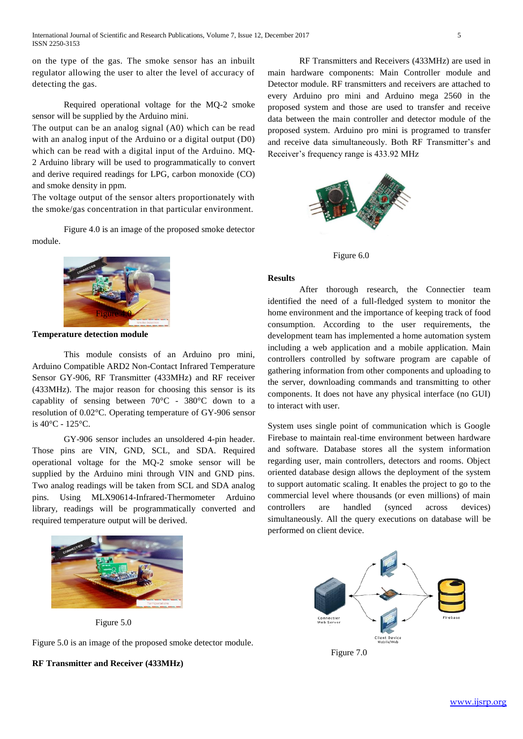on the type of the gas. The smoke sensor has an inbuilt regulator allowing the user to alter the level of accuracy of detecting the gas.

Required operational voltage for the MQ-2 smoke sensor will be supplied by the Arduino mini.

The output can be an analog signal (A0) which can be read with an analog input of the Arduino or a digital output (D0) which can be read with a digital input of the Arduino. MQ-2 Arduino library will be used to programmatically to convert and derive required readings for LPG, carbon monoxide (CO) and smoke density in ppm.

The voltage output of the sensor alters proportionately with the smoke/gas concentration in that particular environment.

Figure 4.0 is an image of the proposed smoke detector module.



**Temperature detection module**

This module consists of an Arduino pro mini, Arduino Compatible ARD2 Non-Contact Infrared Temperature Sensor GY-906, RF Transmitter (433MHz) and RF receiver (433MHz). The major reason for choosing this sensor is its capablity of sensing between 70°C - 380°C down to a resolution of 0.02°C. Operating temperature of GY-906 sensor is 40°C - 125°C.

GY-906 sensor includes an unsoldered 4-pin header. Those pins are VIN, GND, SCL, and SDA. Required operational voltage for the MQ-2 smoke sensor will be supplied by the Arduino mini through VIN and GND pins. Two analog readings will be taken from SCL and SDA analog pins. Using MLX90614-Infrared-Thermometer Arduino library, readings will be programmatically converted and required temperature output will be derived.



Figure 5.0

Figure 5.0 is an image of the proposed smoke detector module.

**RF Transmitter and Receiver (433MHz)**

RF Transmitters and Receivers (433MHz) are used in main hardware components: Main Controller module and Detector module. RF transmitters and receivers are attached to every Arduino pro mini and Arduino mega 2560 in the proposed system and those are used to transfer and receive data between the main controller and detector module of the proposed system. Arduino pro mini is programed to transfer and receive data simultaneously. Both RF Transmitter's and Receiver's frequency range is 433.92 MHz



Figure 6.0

#### **Results**

After thorough research, the Connectier team identified the need of a full-fledged system to monitor the home environment and the importance of keeping track of food consumption. According to the user requirements, the development team has implemented a home automation system including a web application and a mobile application. Main controllers controlled by software program are capable of gathering information from other components and uploading to the server, downloading commands and transmitting to other components. It does not have any physical interface (no GUI) to interact with user.

System uses single point of communication which is Google Firebase to maintain real-time environment between hardware and software. Database stores all the system information regarding user, main controllers, detectors and rooms. Object oriented database design allows the deployment of the system to support automatic scaling. It enables the project to go to the commercial level where thousands (or even millions) of main controllers are handled (synced across devices) simultaneously. All the query executions on database will be performed on client device.



Figure 7.0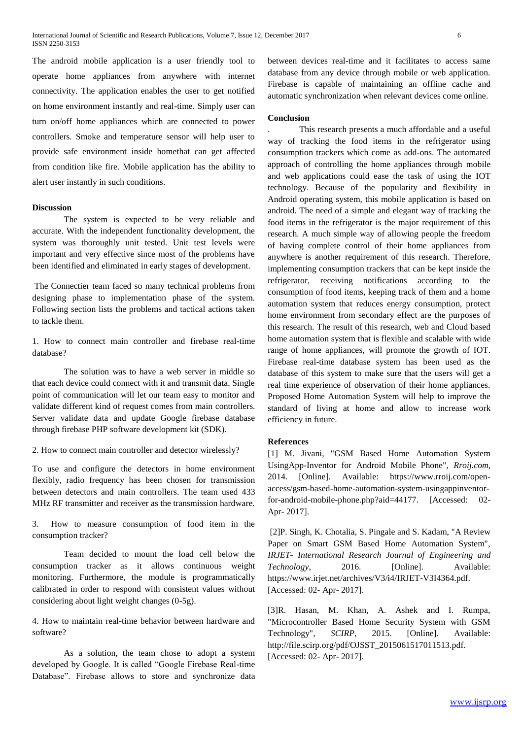The android mobile application is a user friendly tool to operate home appliances from anywhere with internet connectivity. The application enables the user to get notified on home environment instantly and real-time. Simply user can turn on/off home appliances which are connected to power controllers. Smoke and temperature sensor will help user to provide safe environment inside homethat can get affected from condition like fire. Mobile application has the ability to alert user instantly in such conditions.

## **Discussion**

The system is expected to be very reliable and accurate. With the independent functionality development, the system was thoroughly unit tested. Unit test levels were important and very effective since most of the problems have been identified and eliminated in early stages of development.

The Connectier team faced so many technical problems from designing phase to implementation phase of the system. Following section lists the problems and tactical actions taken to tackle them.

1. How to connect main controller and firebase real-time database?

The solution was to have a web server in middle so that each device could connect with it and transmit data. Single point of communication will let our team easy to monitor and validate different kind of request comes from main controllers. Server validate data and update Google firebase database through firebase PHP software development kit (SDK).

2. How to connect main controller and detector wirelessly?

To use and configure the detectors in home environment flexibly, radio frequency has been chosen for transmission between detectors and main controllers. The team used 433 MHz RF transmitter and receiver as the transmission hardware.

3. How to measure consumption of food item in the consumption tracker?

Team decided to mount the load cell below the consumption tracker as it allows continuous weight monitoring. Furthermore, the module is programmatically calibrated in order to respond with consistent values without considering about light weight changes (0-5g).

4. How to maintain real-time behavior between hardware and software?

As a solution, the team chose to adopt a system developed by Google. It is called "Google Firebase Real-time Database". Firebase allows to store and synchronize data between devices real-time and it facilitates to access same database from any device through mobile or web application. Firebase is capable of maintaining an offline cache and automatic synchronization when relevant devices come online.

#### **Conclusion**

. This research presents a much affordable and a useful way of tracking the food items in the refrigerator using consumption trackers which come as add-ons. The automated approach of controlling the home appliances through mobile and web applications could ease the task of using the IOT technology. Because of the popularity and flexibility in Android operating system, this mobile application is based on android. The need of a simple and elegant way of tracking the food items in the refrigerator is the major requirement of this research. A much simple way of allowing people the freedom of having complete control of their home appliances from anywhere is another requirement of this research. Therefore, implementing consumption trackers that can be kept inside the refrigerator, receiving notifications according to the consumption of food items, keeping track of them and a home automation system that reduces energy consumption, protect home environment from secondary effect are the purposes of this research. The result of this research, web and Cloud based home automation system that is flexible and scalable with wide range of home appliances, will promote the growth of IOT. Firebase real-time database system has been used as the database of this system to make sure that the users will get a real time experience of observation of their home appliances. Proposed Home Automation System will help to improve the standard of living at home and allow to increase work efficiency in future.

## **References**

[1] M. Jivani, "GSM Based Home Automation System UsingApp-Inventor for Android Mobile Phone", *Rroij.com*, 2014. [Online]. Available: https://www.rroij.com/openaccess/gsm-based-home-automation-system-usingappinventorfor-android-mobile-phone.php?aid=44177. [Accessed: 02- Apr- 2017].

[2]P. Singh, K. Chotalia, S. Pingale and S. Kadam, "A Review Paper on Smart GSM Based Home Automation System", *IRJET- International Research Journal of Engineering and Technology*, 2016. [Online]. Available: https://www.irjet.net/archives/V3/i4/IRJET-V3I4364.pdf. [Accessed: 02- Apr- 2017].

[3]R. Hasan, M. Khan, A. Ashek and I. Rumpa, "Microcontroller Based Home Security System with GSM Technology", *SCIRP*, 2015. [Online]. Available: http://file.scirp.org/pdf/OJSST\_2015061517011513.pdf. [Accessed: 02- Apr- 2017].